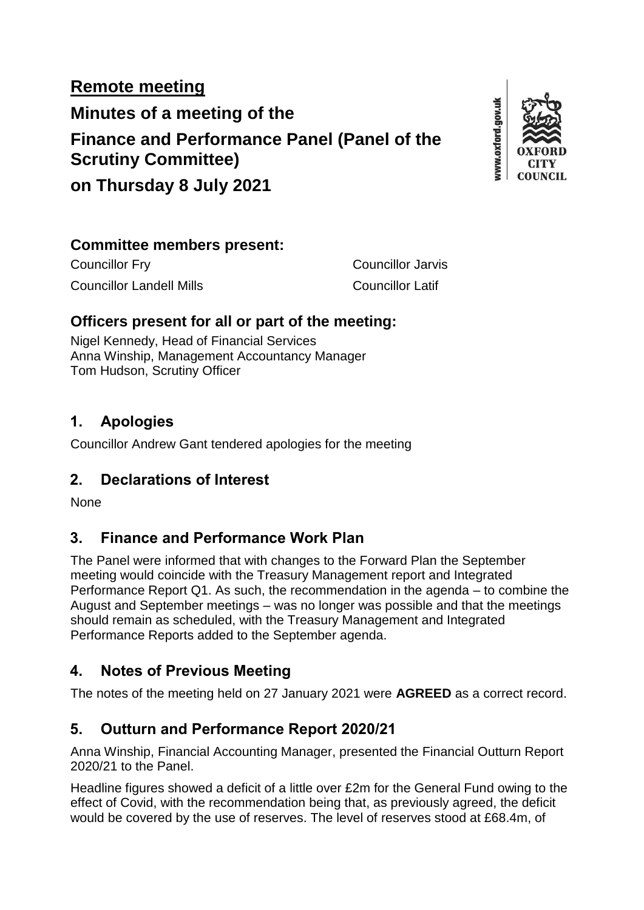# **Remote meeting Minutes of a meeting of the Finance and Performance Panel (Panel of the Scrutiny Committee)**



**on Thursday 8 July 2021**

#### **Committee members present:**

Councillor Fry Councillor Jarvis Councillor Landell Mills Councillor Latif

### **Officers present for all or part of the meeting:**

Nigel Kennedy, Head of Financial Services Anna Winship, Management Accountancy Manager Tom Hudson, Scrutiny Officer

### **1. Apologies**

Councillor Andrew Gant tendered apologies for the meeting

# **2. Declarations of Interest**

None

# **3. Finance and Performance Work Plan**

The Panel were informed that with changes to the Forward Plan the September meeting would coincide with the Treasury Management report and Integrated Performance Report Q1. As such, the recommendation in the agenda – to combine the August and September meetings – was no longer was possible and that the meetings should remain as scheduled, with the Treasury Management and Integrated Performance Reports added to the September agenda.

# **4. Notes of Previous Meeting**

The notes of the meeting held on 27 January 2021 were **AGREED** as a correct record.

# **5. Outturn and Performance Report 2020/21**

Anna Winship, Financial Accounting Manager, presented the Financial Outturn Report 2020/21 to the Panel.

Headline figures showed a deficit of a little over £2m for the General Fund owing to the effect of Covid, with the recommendation being that, as previously agreed, the deficit would be covered by the use of reserves. The level of reserves stood at £68.4m, of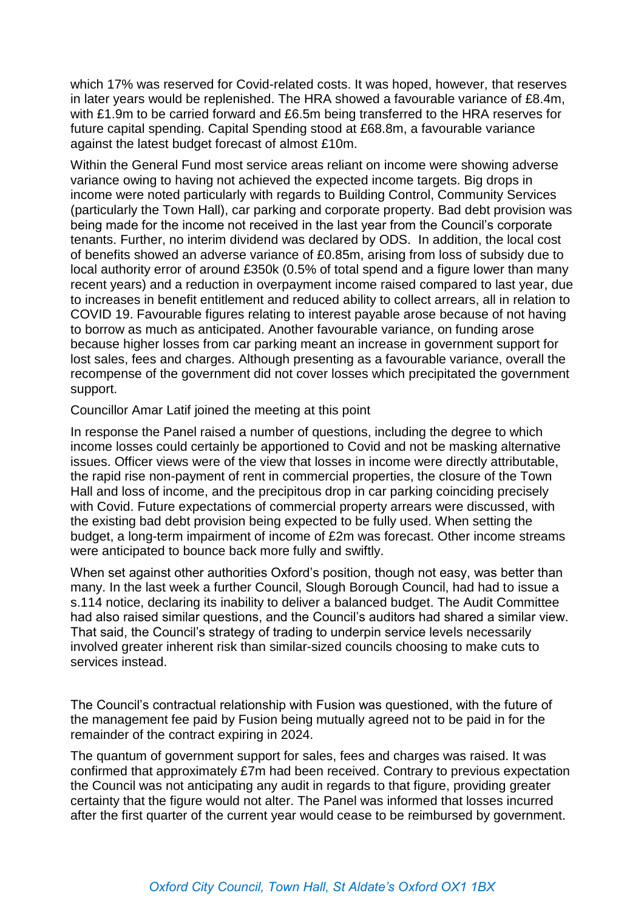which 17% was reserved for Covid-related costs. It was hoped, however, that reserves in later years would be replenished. The HRA showed a favourable variance of £8.4m, with £1.9m to be carried forward and £6.5m being transferred to the HRA reserves for future capital spending. Capital Spending stood at £68.8m, a favourable variance against the latest budget forecast of almost £10m.

Within the General Fund most service areas reliant on income were showing adverse variance owing to having not achieved the expected income targets. Big drops in income were noted particularly with regards to Building Control, Community Services (particularly the Town Hall), car parking and corporate property. Bad debt provision was being made for the income not received in the last year from the Council's corporate tenants. Further, no interim dividend was declared by ODS. In addition, the local cost of benefits showed an adverse variance of £0.85m, arising from loss of subsidy due to local authority error of around £350k (0.5% of total spend and a figure lower than many recent years) and a reduction in overpayment income raised compared to last year, due to increases in benefit entitlement and reduced ability to collect arrears, all in relation to COVID 19. Favourable figures relating to interest payable arose because of not having to borrow as much as anticipated. Another favourable variance, on funding arose because higher losses from car parking meant an increase in government support for lost sales, fees and charges. Although presenting as a favourable variance, overall the recompense of the government did not cover losses which precipitated the government support.

#### Councillor Amar Latif joined the meeting at this point

In response the Panel raised a number of questions, including the degree to which income losses could certainly be apportioned to Covid and not be masking alternative issues. Officer views were of the view that losses in income were directly attributable, the rapid rise non-payment of rent in commercial properties, the closure of the Town Hall and loss of income, and the precipitous drop in car parking coinciding precisely with Covid. Future expectations of commercial property arrears were discussed, with the existing bad debt provision being expected to be fully used. When setting the budget, a long-term impairment of income of £2m was forecast. Other income streams were anticipated to bounce back more fully and swiftly.

When set against other authorities Oxford's position, though not easy, was better than many. In the last week a further Council, Slough Borough Council, had had to issue a s.114 notice, declaring its inability to deliver a balanced budget. The Audit Committee had also raised similar questions, and the Council's auditors had shared a similar view. That said, the Council's strategy of trading to underpin service levels necessarily involved greater inherent risk than similar-sized councils choosing to make cuts to services instead.

The Council's contractual relationship with Fusion was questioned, with the future of the management fee paid by Fusion being mutually agreed not to be paid in for the remainder of the contract expiring in 2024.

The quantum of government support for sales, fees and charges was raised. It was confirmed that approximately £7m had been received. Contrary to previous expectation the Council was not anticipating any audit in regards to that figure, providing greater certainty that the figure would not alter. The Panel was informed that losses incurred after the first quarter of the current year would cease to be reimbursed by government.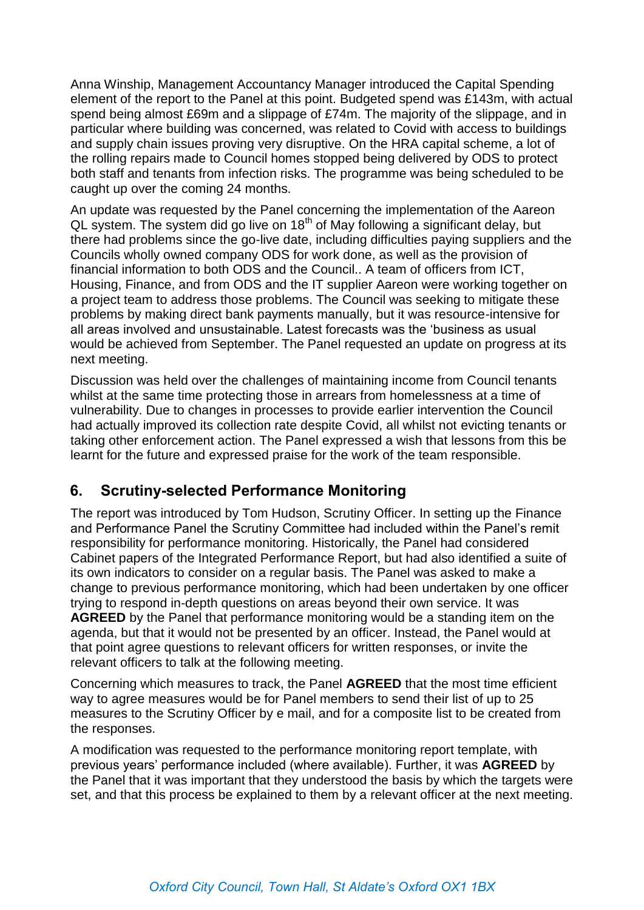Anna Winship, Management Accountancy Manager introduced the Capital Spending element of the report to the Panel at this point. Budgeted spend was £143m, with actual spend being almost £69m and a slippage of £74m. The majority of the slippage, and in particular where building was concerned, was related to Covid with access to buildings and supply chain issues proving very disruptive. On the HRA capital scheme, a lot of the rolling repairs made to Council homes stopped being delivered by ODS to protect both staff and tenants from infection risks. The programme was being scheduled to be caught up over the coming 24 months.

An update was requested by the Panel concerning the implementation of the Aareon QL system. The system did go live on 18<sup>th</sup> of May following a significant delay, but there had problems since the go-live date, including difficulties paying suppliers and the Councils wholly owned company ODS for work done, as well as the provision of financial information to both ODS and the Council.. A team of officers from ICT, Housing, Finance, and from ODS and the IT supplier Aareon were working together on a project team to address those problems. The Council was seeking to mitigate these problems by making direct bank payments manually, but it was resource-intensive for all areas involved and unsustainable. Latest forecasts was the 'business as usual would be achieved from September. The Panel requested an update on progress at its next meeting.

Discussion was held over the challenges of maintaining income from Council tenants whilst at the same time protecting those in arrears from homelessness at a time of vulnerability. Due to changes in processes to provide earlier intervention the Council had actually improved its collection rate despite Covid, all whilst not evicting tenants or taking other enforcement action. The Panel expressed a wish that lessons from this be learnt for the future and expressed praise for the work of the team responsible.

### **6. Scrutiny-selected Performance Monitoring**

The report was introduced by Tom Hudson, Scrutiny Officer. In setting up the Finance and Performance Panel the Scrutiny Committee had included within the Panel's remit responsibility for performance monitoring. Historically, the Panel had considered Cabinet papers of the Integrated Performance Report, but had also identified a suite of its own indicators to consider on a regular basis. The Panel was asked to make a change to previous performance monitoring, which had been undertaken by one officer trying to respond in-depth questions on areas beyond their own service. It was **AGREED** by the Panel that performance monitoring would be a standing item on the agenda, but that it would not be presented by an officer. Instead, the Panel would at that point agree questions to relevant officers for written responses, or invite the relevant officers to talk at the following meeting.

Concerning which measures to track, the Panel **AGREED** that the most time efficient way to agree measures would be for Panel members to send their list of up to 25 measures to the Scrutiny Officer by e mail, and for a composite list to be created from the responses.

A modification was requested to the performance monitoring report template, with previous years' performance included (where available). Further, it was **AGREED** by the Panel that it was important that they understood the basis by which the targets were set, and that this process be explained to them by a relevant officer at the next meeting.